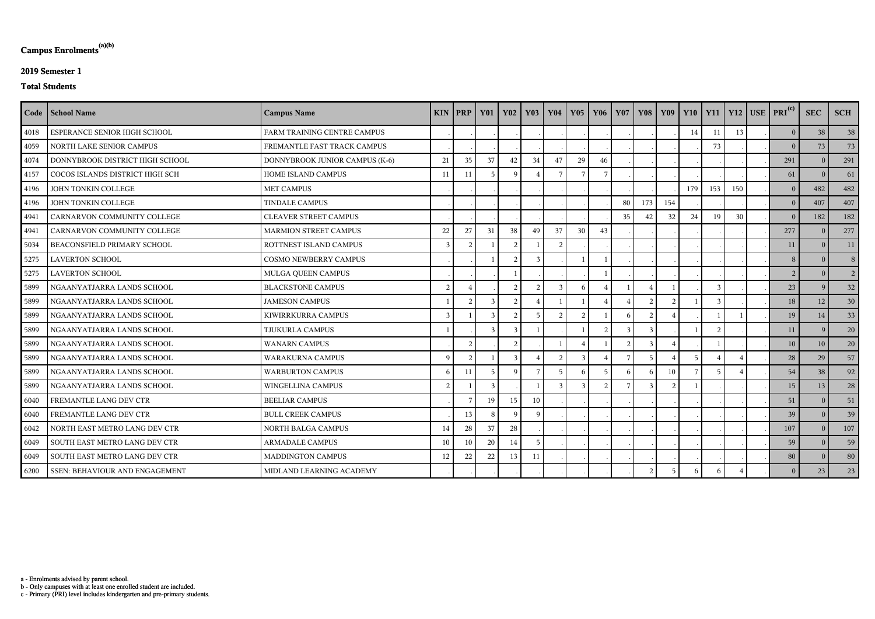c - Primary (PRI) level includes kindergarten and pre-primary students.

b - Only campuses with at least one enrolled student are included.

a - Enrolments advised by parent school.

# **Campus Enrolments(a)(b)**

### **2019 Semester 1**

#### **Total Students**

|      | Code   School Name              | <b>Campus Name</b>             |                | $KIN$   PRP    | <b>Y01</b>     | $\overline{\phantom{0}}$ Y02 | $\vert$ Y <sub>03</sub> | <b>Y04</b>     | Y05            | Y06             | <b>Y07</b>    |                |     |                 |          |     | Y08 Y09 Y10 Y11 Y12 USE PRI <sup>(c)</sup> | <b>SEC</b>     | <b>SCH</b>     |
|------|---------------------------------|--------------------------------|----------------|----------------|----------------|------------------------------|-------------------------|----------------|----------------|-----------------|---------------|----------------|-----|-----------------|----------|-----|--------------------------------------------|----------------|----------------|
| 4018 | ESPERANCE SENIOR HIGH SCHOOL    | FARM TRAINING CENTRE CAMPUS    |                |                |                |                              |                         |                |                |                 |               |                |     | 14              | 11       | 13  | $\vert 0 \vert$                            | 38             | 38             |
| 4059 | NORTH LAKE SENIOR CAMPUS        | FREMANTLE FAST TRACK CAMPUS    |                |                |                |                              |                         |                |                |                 |               |                |     |                 | 73       |     | 0 <sup>1</sup>                             | 73             | 73             |
| 4074 | DONNYBROOK DISTRICT HIGH SCHOOL | DONNYBROOK JUNIOR CAMPUS (K-6) | 21             | 35             | 37             | 42                           | 34                      | 47             | 29             | 46              |               |                |     |                 |          |     | 291                                        | $\Omega$       | 291            |
| 4157 | COCOS ISLANDS DISTRICT HIGH SCH | HOME ISLAND CAMPUS             | 11             | 11             | -5             | - Q                          |                         | -7             |                |                 |               |                |     |                 |          |     | 61                                         | $\Omega$       | 61             |
| 4196 | JOHN TONKIN COLLEGE             | <b>MET CAMPUS</b>              |                |                |                |                              |                         |                |                |                 |               |                |     | 179             | 153      | 150 | $\overline{0}$                             | 482            | 482            |
| 4196 | JOHN TONKIN COLLEGE             | <b>TINDALE CAMPUS</b>          |                |                |                |                              |                         |                |                |                 | 80            | 173            | 154 |                 |          |     | 0 <sup>1</sup>                             | 407            | 407            |
| 4941 | CARNARVON COMMUNITY COLLEGE     | <b>CLEAVER STREET CAMPUS</b>   |                |                |                |                              |                         |                |                |                 | 35            | 42             | 32  | 24              | 19       | 30  | $\vert 0 \vert$                            | 182            | 182            |
| 4941 | CARNARVON COMMUNITY COLLEGE     | <b>MARMION STREET CAMPUS</b>   | 22             | 27             | 31             | 38                           | 49                      | 37             | 30             | 43              |               |                |     |                 |          |     | 277                                        | $\Omega$       | 277            |
| 5034 | BEACONSFIELD PRIMARY SCHOOL     | ROTTNEST ISLAND CAMPUS         | $\overline{3}$ |                |                | $\overline{2}$               |                         | $\overline{2}$ |                |                 |               |                |     |                 |          |     | 11                                         | $\overline{0}$ | 11             |
| 5275 | <b>LAVERTON SCHOOL</b>          | <b>COSMO NEWBERRY CAMPUS</b>   |                |                |                | $\mathcal{D}$                | $\mathcal{R}$           |                |                |                 |               |                |     |                 |          |     | 8 <sup>1</sup>                             | $\Omega$       | 8 <sup>1</sup> |
| 5275 | <b>LAVERTON SCHOOL</b>          | MULGA QUEEN CAMPUS             |                |                |                |                              |                         |                |                |                 |               |                |     |                 |          |     | 2 <sup>1</sup>                             | $\overline{0}$ | 2 <sup>1</sup> |
| 5899 | NGAANYATJARRA LANDS SCHOOL      | <b>BLACKSTONE CAMPUS</b>       | 2              |                |                | 2                            | $\overline{2}$          | -3             | 6              |                 |               |                |     |                 |          |     | 23                                         | 9              | 32             |
| 5899 | NGAANYATJARRA LANDS SCHOOL      | <b>JAMESON CAMPUS</b>          |                | $\overline{2}$ | $\mathbf{3}$   | $\mathcal{D}$                |                         |                |                |                 |               | $\mathcal{D}$  |     |                 |          |     | 18                                         | 12             | 30             |
| 5899 | NGAANYATJARRA LANDS SCHOOL      | KIWIRRKURRA CAMPUS             | $\overline{3}$ |                |                | $\overline{2}$               |                         | 2              | $\overline{c}$ |                 |               | $\overline{2}$ |     |                 |          |     | 19                                         | $14\,$         | 33             |
| 5899 | NGAANYATJARRA LANDS SCHOOL      | TJUKURLA CAMPUS                |                |                | $\mathbf{3}$   |                              |                         |                |                | $\overline{2}$  | $\mathcal{R}$ | $\mathcal{R}$  |     |                 | $\Omega$ |     | 11                                         | <sup>Q</sup>   | 20             |
| 5899 | NGAANYATJARRA LANDS SCHOOL      | <b>WANARN CAMPUS</b>           |                | 2              |                | $\overline{2}$               |                         |                |                |                 |               |                |     |                 |          |     | 10                                         | 10             | 20             |
| 5899 | NGAANYATJARRA LANDS SCHOOL      | <b>WARAKURNA CAMPUS</b>        | $\mathbf{Q}$   | 2              |                | $\mathcal{R}$                |                         | 2              | 3              |                 |               | -5             |     | $5\overline{)}$ |          |     | 28                                         | 29             | 57             |
| 5899 | NGAANYATJARRA LANDS SCHOOL      | <b>WARBURTON CAMPUS</b>        | 6              | 11             | $\overline{5}$ | $\mathbf Q$                  | $\overline{7}$          | 5              | 6              | $5\overline{)}$ | 6             |                | 10  |                 |          |     | 54                                         | 38             | 92             |
| 5899 | NGAANYATJARRA LANDS SCHOOL      | WINGELLINA CAMPUS              | 2              |                | $\mathcal{R}$  |                              |                         | 3              |                | $\mathcal{D}$   |               |                |     |                 |          |     | 15                                         | 13             | 28             |
| 6040 | FREMANTLE LANG DEV CTR          | <b>BEELIAR CAMPUS</b>          |                |                | 19             | 15                           | 10                      |                |                |                 |               |                |     |                 |          |     | 51                                         | $\Omega$       | 51             |
| 6040 | FREMANTLE LANG DEV CTR          | <b>BULL CREEK CAMPUS</b>       |                | 13             | -8             | <b>Q</b>                     | q                       |                |                |                 |               |                |     |                 |          |     | 39                                         | $\theta$       | 39             |
| 6042 | NORTH EAST METRO LANG DEV CTR   | NORTH BALGA CAMPUS             | 14             | 28             | 37             | 28                           |                         |                |                |                 |               |                |     |                 |          |     | 107                                        | $\overline{0}$ | 107            |
| 6049 | SOUTH EAST METRO LANG DEV CTR   | <b>ARMADALE CAMPUS</b>         | 10             | 10             | 20             | 14                           | - 5                     |                |                |                 |               |                |     |                 |          |     | 59                                         | $\overline{0}$ | 59             |
| 6049 | SOUTH EAST METRO LANG DEV CTR   | MADDINGTON CAMPUS              | 12             | 22             | 22             | 13                           | 11                      |                |                |                 |               |                |     |                 |          |     | 80                                         | $\Omega$       | 80             |
| 6200 | SSEN: BEHAVIOUR AND ENGAGEMENT  | MIDLAND LEARNING ACADEMY       |                |                |                |                              |                         |                |                |                 |               | $\bigcap$      |     |                 |          |     | $\overline{0}$                             | 23             | 23             |